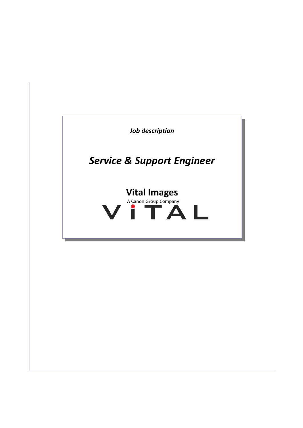

I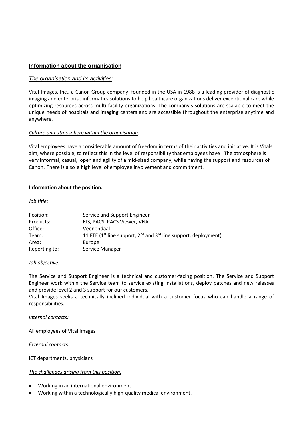# **Information about the organisation**

### *The organisation and its activities:*

Vital Images, Inc**.,** a Canon Group company, founded in the USA in 1988 is a leading provider of diagnostic imaging and enterprise informatics solutions to help healthcare organizations deliver exceptional care while optimizing resources across multi-facility organizations. The company's solutions are scalable to meet the unique needs of hospitals and imaging centers and are accessible throughout the enterprise anytime and anywhere.

### *Culture and atmosphere within the organisation:*

Vital employees have a considerable amount of freedom in terms of their activities and initiative. It is Vitals aim, where possible, to reflect this in the level of responsibility that employees have . The atmosphere is very informal, casual, open and agility of a mid-sized company, while having the support and resources of Canon. There is also a high level of employee involvement and commitment.

#### **Information about the position:**

#### *Job title:*

| Position:     | Service and Support Engineer                                           |
|---------------|------------------------------------------------------------------------|
| Products:     | RIS, PACS, PACS Viewer, VNA                                            |
| Office:       | Veenendaal                                                             |
| Team:         | 11 FTE ( $1st$ line support, $2nd$ and $3rd$ line support, deployment) |
| Area:         | Europe                                                                 |
| Reporting to: | Service Manager                                                        |

#### *Job objective:*

The Service and Support Engineer is a technical and customer-facing position. The Service and Support Engineer work within the Service team to service existing installations, deploy patches and new releases and provide level 2 and 3 support for our customers.

Vital Images seeks a technically inclined individual with a customer focus who can handle a range of responsibilities.

#### *Internal contacts:*

All employees of Vital Images

#### *External contacts:*

ICT departments, physicians

#### *The challenges arising from this position:*

- Working in an international environment.
- Working within a technologically high-quality medical environment.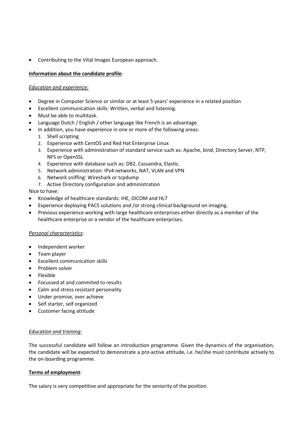Contributing to the Vital Images European approach.

### **Information about the candidate profile***:*

### *Education and experience:*

- Degree in Computer Science or similar or at least 5 years' experience in a related position
- Excellent communication skills: Written, verbal and listening.
- Must be able to multitask.
- Language Dutch / English / other language like French is an advantage.
- In addition, you have experience in one or more of the following areas:
	- 1. Shell scripting
	- 2. Experience with CentOS and Red Hat Enterprise Linux
	- 3. Experience with administration of standard service such as: Apache, bind, Directory Server, NTP, NFS or OpenSSL
	- 4. Experience with database such as: DB2, Cassandra, Elastic.
	- 5. Network administration: IPv4 networks, NAT, VLAN and VPN
	- 6. Network sniffing: Wireshark or tcpdump
	- 7. Active Directory configuration and administration

#### Nice to have:

- Knowledge of healthcare standards: IHE, DICOM and HL7
- Experience deploying PACS solutions and /or strong clinical background on imaging.
- Previous experience working with large healthcare enterprises either directly as a member of the healthcare enterprise or a vendor of the healthcare enterprises.

#### *Personal characteristics*:

- Independent worker
- Team player
- Excellent communication skills
- Problem solver
- Flexible
- Focussed at and commited to results
- Calm and stress resistant personality
- Under promise, over achieve
- Self starter, self organized
- Customer facing attitude

#### *Education and training:*

The successful candidate will follow an introduction programme. Given the dynamics of the organisation, the candidate will be expected to demonstrate a pro-active attitude, i.e. he/she must contribute actively to the on-boarding programme.

#### **Terms of employment***:*

The salary is very competitive and appropriate for the seniority of the position.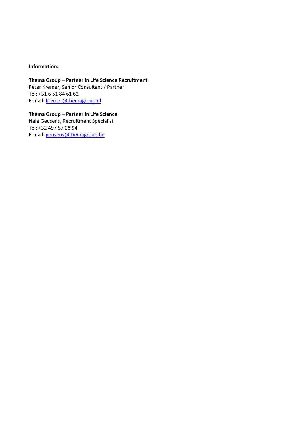## **Information:**

**Thema Group – Partner in Life Science Recruitment** Peter Kremer, Senior Consultant / Partner Tel: +31 6 51 84 61 62 E-mail: [kremer@themagroup.nl](mailto:kremer@themagroup.nl)

**Thema Group – Partner in Life Science** Nele Geusens, Recruitment Specialist Tel: +32 497 57 08 94 E-mail: [geusens@themagroup.be](mailto:geusens@themagroup.be)